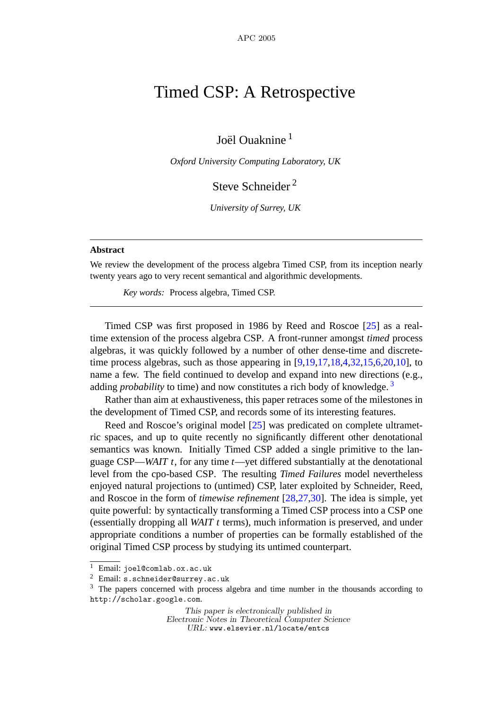# Timed CSP: A Retrospective

### Joël Ouaknine<sup>1</sup>

*Oxford University Computing Laboratory, UK*

## Steve Schneider <sup>2</sup>

*University of Surrey, UK*

#### **Abstract**

We review the development of the process algebra Timed CSP, from its inception nearly twenty years ago to very recent semantical and algorithmic developments.

*Key words:* Process algebra, Timed CSP.

Timed CSP was first proposed in 1986 by Reed and Roscoe [\[25\]](#page-4-0) as a realtime extension of the process algebra CSP. A front-runner amongst *timed* process algebras, it was quickly followed by a number of other dense-time and discretetime process algebras, such as those appearing in  $[9,19,17,18,4,32,15,6,20,10]$  $[9,19,17,18,4,32,15,6,20,10]$  $[9,19,17,18,4,32,15,6,20,10]$  $[9,19,17,18,4,32,15,6,20,10]$  $[9,19,17,18,4,32,15,6,20,10]$  $[9,19,17,18,4,32,15,6,20,10]$  $[9,19,17,18,4,32,15,6,20,10]$  $[9,19,17,18,4,32,15,6,20,10]$  $[9,19,17,18,4,32,15,6,20,10]$  $[9,19,17,18,4,32,15,6,20,10]$ , to name a few. The field continued to develop and expand into new directions (e.g., adding *probability* to time) and now constitutes a rich body of knowledge. [3](#page-0-0)

Rather than aim at exhaustiveness, this paper retraces some of the milestones in the development of Timed CSP, and records some of its interesting features.

Reed and Roscoe's original model [\[25\]](#page-4-0) was predicated on complete ultrametric spaces, and up to quite recently no significantly different other denotational semantics was known. Initially Timed CSP added a single primitive to the language CSP—*WAIT t*, for any time *t*—yet differed substantially at the denotational level from the cpo-based CSP. The resulting *Timed Failures* model nevertheless enjoyed natural projections to (untimed) CSP, later exploited by Schneider, Reed, and Roscoe in the form of *timewise refinement* [\[28,](#page-4-2)[27,](#page-4-3)[30\]](#page-4-4). The idea is simple, yet quite powerful: by syntactically transforming a Timed CSP process into a CSP one (essentially dropping all *WAIT t* terms), much information is preserved, and under appropriate conditions a number of properties can be formally established of the original Timed CSP process by studying its untimed counterpart.

This paper is electronically published in Electronic Notes in Theoretical Computer Science URL: www.elsevier.nl/locate/entcs

<sup>1</sup> Email: joel@comlab.ox.ac.uk

<sup>2</sup> Email: s.schneider@surrey.ac.uk

<span id="page-0-0"></span><sup>&</sup>lt;sup>3</sup> The papers concerned with process algebra and time number in the thousands according to http://scholar.google.com.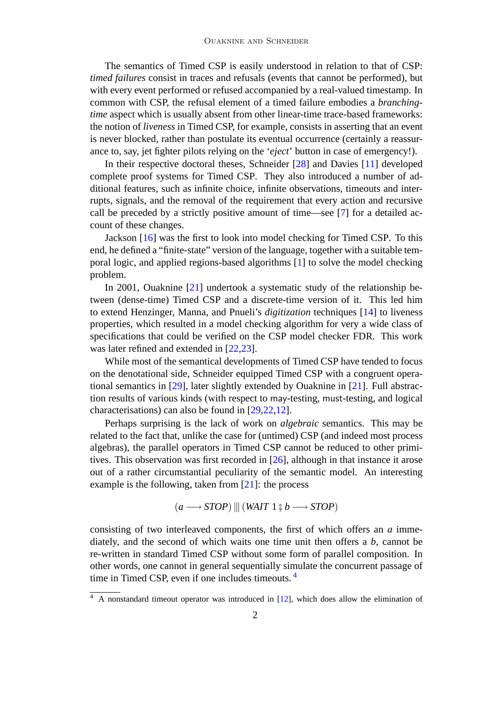The semantics of Timed CSP is easily understood in relation to that of CSP: *timed failures* consist in traces and refusals (events that cannot be performed), but with every event performed or refused accompanied by a real-valued timestamp. In common with CSP, the refusal element of a timed failure embodies a *branchingtime* aspect which is usually absent from other linear-time trace-based frameworks: the notion of *liveness* in Timed CSP, for example, consists in asserting that an event is never blocked, rather than postulate its eventual occurrence (certainly a reassurance to, say, jet fighter pilots relying on the '*eject*' button in case of emergency!).

In their respective doctoral theses, Schneider [\[28\]](#page-4-2) and Davies [\[11\]](#page-3-7) developed complete proof systems for Timed CSP. They also introduced a number of additional features, such as infinite choice, infinite observations, timeouts and interrupts, signals, and the removal of the requirement that every action and recursive call be preceded by a strictly positive amount of time—see [\[7\]](#page-3-8) for a detailed account of these changes.

Jackson [\[16\]](#page-3-9) was the first to look into model checking for Timed CSP. To this end, he defined a "finite-state" version of the language, together with a suitable temporal logic, and applied regions-based algorithms [\[1\]](#page-2-2) to solve the model checking problem.

In 2001, Ouaknine [\[21\]](#page-3-10) undertook a systematic study of the relationship between (dense-time) Timed CSP and a discrete-time version of it. This led him to extend Henzinger, Manna, and Pnueli's *digitization* techniques [\[14\]](#page-3-11) to liveness properties, which resulted in a model checking algorithm for very a wide class of specifications that could be verified on the CSP model checker FDR. This work was later refined and extended in [\[22](#page-4-5)[,23\]](#page-4-6).

While most of the semantical developments of Timed CSP have tended to focus on the denotational side, Schneider equipped Timed CSP with a congruent operational semantics in [\[29\]](#page-4-7), later slightly extended by Ouaknine in [\[21\]](#page-3-10). Full abstraction results of various kinds (with respect to may-testing, must-testing, and logical characterisations) can also be found in [\[29](#page-4-7)[,22](#page-4-5)[,12\]](#page-3-12).

Perhaps surprising is the lack of work on *algebraic* semantics. This may be related to the fact that, unlike the case for (untimed) CSP (and indeed most process algebras), the parallel operators in Timed CSP cannot be reduced to other primitives. This observation was first recorded in [\[26\]](#page-4-8), although in that instance it arose out of a rather circumstantial peculiarity of the semantic model. An interesting example is the following, taken from  $[21]$ : the process

$$
(a \longrightarrow STOP) \parallel (WAIT 1 \; \text{S} \; b \longrightarrow STOP)
$$

consisting of two interleaved components, the first of which offers an *a* immediately, and the second of which waits one time unit then offers a *b*, cannot be re-written in standard Timed CSP without some form of parallel composition. In other words, one cannot in general sequentially simulate the concurrent passage of time in Timed CSP, even if one includes timeouts.<sup>[4](#page-1-0)</sup>

<span id="page-1-0"></span> $\overline{4}$  A nonstandard timeout operator was introduced in [\[12\]](#page-3-12), which does allow the elimination of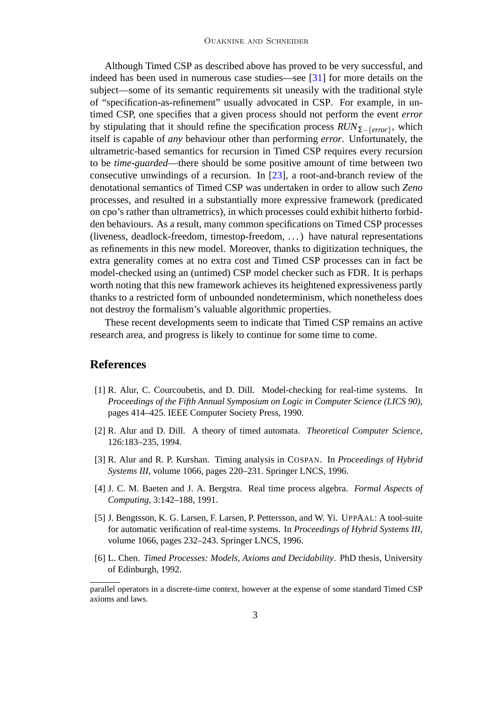Although Timed CSP as described above has proved to be very successful, and indeed has been used in numerous case studies—see [\[31\]](#page-4-9) for more details on the subject—some of its semantic requirements sit uneasily with the traditional style of "specification-as-refinement" usually advocated in CSP. For example, in untimed CSP, one specifies that a given process should not perform the event *error* by stipulating that it should refine the specification process *RUN*<sub>Σ−{*error*}</sub>, which itself is capable of *any* behaviour other than performing *error*. Unfortunately, the ultrametric-based semantics for recursion in Timed CSP requires every recursion to be *time-guarded*—there should be some positive amount of time between two consecutive unwindings of a recursion. In [\[23\]](#page-4-6), a root-and-branch review of the denotational semantics of Timed CSP was undertaken in order to allow such *Zeno* processes, and resulted in a substantially more expressive framework (predicated on cpo's rather than ultrametrics), in which processes could exhibit hitherto forbidden behaviours. As a result, many common specifications on Timed CSP processes (liveness, deadlock-freedom, timestop-freedom, . . . ) have natural representations as refinements in this new model. Moreover, thanks to digitization techniques, the extra generality comes at no extra cost and Timed CSP processes can in fact be model-checked using an (untimed) CSP model checker such as FDR. It is perhaps worth noting that this new framework achieves its heightened expressiveness partly thanks to a restricted form of unbounded nondeterminism, which nonetheless does not destroy the formalism's valuable algorithmic properties.

These recent developments seem to indicate that Timed CSP remains an active research area, and progress is likely to continue for some time to come.

#### **References**

- <span id="page-2-2"></span>[1] R. Alur, C. Courcoubetis, and D. Dill. Model-checking for real-time systems. In *Proceedings of the Fifth Annual Symposium on Logic in Computer Science (LICS 90)*, pages 414–425. IEEE Computer Society Press, 1990.
- [2] R. Alur and D. Dill. A theory of timed automata. *Theoretical Computer Science*, 126:183–235, 1994.
- [3] R. Alur and R. P. Kurshan. Timing analysis in COSPAN. In *Proceedings of Hybrid Systems III*, volume 1066, pages 220–231. Springer LNCS, 1996.
- <span id="page-2-0"></span>[4] J. C. M. Baeten and J. A. Bergstra. Real time process algebra. *Formal Aspects of Computing*, 3:142–188, 1991.
- [5] J. Bengtsson, K. G. Larsen, F. Larsen, P. Pettersson, and W. Yi. UPPAAL: A tool-suite for automatic verification of real-time systems. In *Proceedings of Hybrid Systems III*, volume 1066, pages 232–243. Springer LNCS, 1996.
- <span id="page-2-1"></span>[6] L. Chen. *Timed Processes: Models, Axioms and Decidability*. PhD thesis, University of Edinburgh, 1992.

parallel operators in a discrete-time context, however at the expense of some standard Timed CSP axioms and laws.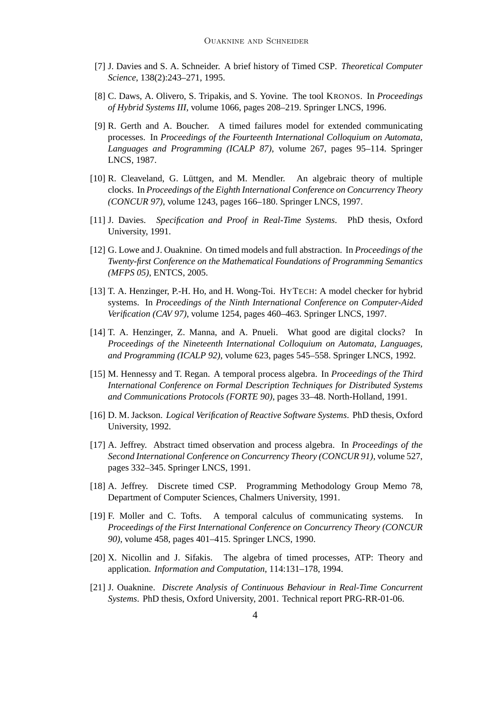- <span id="page-3-8"></span>[7] J. Davies and S. A. Schneider. A brief history of Timed CSP. *Theoretical Computer Science*, 138(2):243–271, 1995.
- [8] C. Daws, A. Olivero, S. Tripakis, and S. Yovine. The tool KRONOS. In *Proceedings of Hybrid Systems III*, volume 1066, pages 208–219. Springer LNCS, 1996.
- <span id="page-3-0"></span>[9] R. Gerth and A. Boucher. A timed failures model for extended communicating processes. In *Proceedings of the Fourteenth International Colloquium on Automata, Languages and Programming (ICALP 87)*, volume 267, pages 95–114. Springer LNCS, 1987.
- <span id="page-3-6"></span>[10] R. Cleaveland, G. Lüttgen, and M. Mendler. An algebraic theory of multiple clocks. In *Proceedings of the Eighth International Conference on Concurrency Theory (CONCUR 97)*, volume 1243, pages 166–180. Springer LNCS, 1997.
- <span id="page-3-7"></span>[11] J. Davies. *Specification and Proof in Real-Time Systems*. PhD thesis, Oxford University, 1991.
- <span id="page-3-12"></span>[12] G. Lowe and J. Ouaknine. On timed models and full abstraction. In *Proceedings of the Twenty-first Conference on the Mathematical Foundations of Programming Semantics (MFPS 05)*, ENTCS, 2005.
- [13] T. A. Henzinger, P.-H. Ho, and H. Wong-Toi. HYTECH: A model checker for hybrid systems. In *Proceedings of the Ninth International Conference on Computer-Aided Verification (CAV 97)*, volume 1254, pages 460–463. Springer LNCS, 1997.
- <span id="page-3-11"></span>[14] T. A. Henzinger, Z. Manna, and A. Pnueli. What good are digital clocks? In *Proceedings of the Nineteenth International Colloquium on Automata, Languages, and Programming (ICALP 92)*, volume 623, pages 545–558. Springer LNCS, 1992.
- <span id="page-3-4"></span>[15] M. Hennessy and T. Regan. A temporal process algebra. In *Proceedings of the Third International Conference on Formal Description Techniques for Distributed Systems and Communications Protocols (FORTE 90)*, pages 33–48. North-Holland, 1991.
- <span id="page-3-9"></span>[16] D. M. Jackson. *Logical Verification of Reactive Software Systems*. PhD thesis, Oxford University, 1992.
- <span id="page-3-2"></span>[17] A. Jeffrey. Abstract timed observation and process algebra. In *Proceedings of the Second International Conference on Concurrency Theory (CONCUR 91)*, volume 527, pages 332–345. Springer LNCS, 1991.
- <span id="page-3-3"></span>[18] A. Jeffrey. Discrete timed CSP. Programming Methodology Group Memo 78, Department of Computer Sciences, Chalmers University, 1991.
- <span id="page-3-1"></span>[19] F. Moller and C. Tofts. A temporal calculus of communicating systems. In *Proceedings of the First International Conference on Concurrency Theory (CONCUR 90)*, volume 458, pages 401–415. Springer LNCS, 1990.
- <span id="page-3-5"></span>[20] X. Nicollin and J. Sifakis. The algebra of timed processes, ATP: Theory and application. *Information and Computation*, 114:131–178, 1994.
- <span id="page-3-10"></span>[21] J. Ouaknine. *Discrete Analysis of Continuous Behaviour in Real-Time Concurrent Systems*. PhD thesis, Oxford University, 2001. Technical report PRG-RR-01-06.